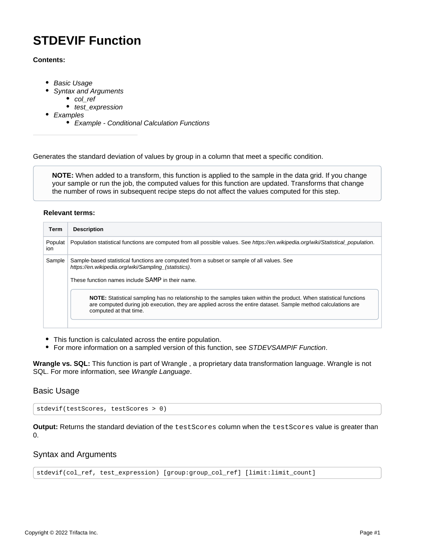# **STDEVIF Function**

#### **Contents:**

- [Basic Usage](#page-0-0)
	- [Syntax and Arguments](#page-0-1)
		- [col\\_ref](#page-1-0)
		- test expression
- [Examples](#page-1-2)
	- [Example Conditional Calculation Functions](#page-1-3)

Generates the standard deviation of values by group in a column that meet a specific condition.

**NOTE:** When added to a transform, this function is applied to the sample in the data grid. If you change your sample or run the job, the computed values for this function are updated. Transforms that change the number of rows in subsequent recipe steps do not affect the values computed for this step.

#### **Relevant terms:**

| Population statistical functions are computed from all possible values. See https://en.wikipedia.org/wiki/Statistical population.                                                                                                   |
|-------------------------------------------------------------------------------------------------------------------------------------------------------------------------------------------------------------------------------------|
|                                                                                                                                                                                                                                     |
|                                                                                                                                                                                                                                     |
| NOTE: Statistical sampling has no relationship to the samples taken within the product. When statistical functions<br>are computed during job execution, they are applied across the entire dataset. Sample method calculations are |
|                                                                                                                                                                                                                                     |

- This function is calculated across the entire population.
- For more information on a sampled version of this function, see [STDEVSAMPIF Function](https://docs.trifacta.com/display/SS/STDEVSAMPIF+Function).

**Wrangle vs. SQL:** This function is part of Wrangle , a proprietary data transformation language. Wrangle is not SQL. For more information, see [Wrangle Language](https://docs.trifacta.com/display/SS/Wrangle+Language).

# <span id="page-0-0"></span>Basic Usage

stdevif(testScores, testScores > 0)

**Output:** Returns the standard deviation of the testScores column when the testScores value is greater than  $\Omega$ .

# <span id="page-0-1"></span>Syntax and Arguments

stdevif(col\_ref, test\_expression) [group:group\_col\_ref] [limit:limit\_count]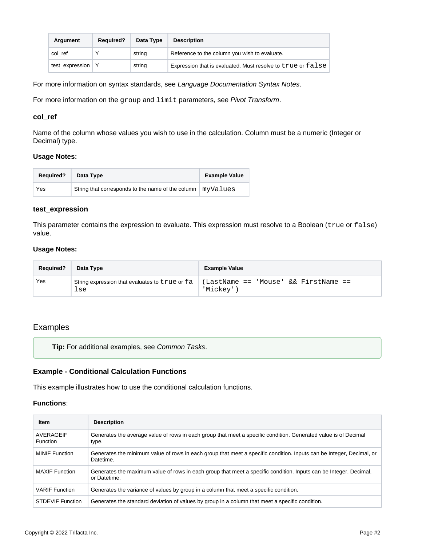| Argument            | <b>Required?</b> | Data Type | <b>Description</b>                                          |
|---------------------|------------------|-----------|-------------------------------------------------------------|
| col ref             |                  | string    | Reference to the column you wish to evaluate.               |
| test_expression   Y |                  | string    | Expression that is evaluated. Must resolve to true or false |

For more information on syntax standards, see [Language Documentation Syntax Notes](https://docs.trifacta.com/display/SS/Language+Documentation+Syntax+Notes).

For more information on the group and limit parameters, see [Pivot Transform](https://docs.trifacta.com/display/SS/Pivot+Transform).

#### <span id="page-1-0"></span>**col\_ref**

Name of the column whose values you wish to use in the calculation. Column must be a numeric (Integer or Decimal) type.

#### **Usage Notes:**

| <b>Required?</b> | Data Type                                         | <b>Example Value</b> |
|------------------|---------------------------------------------------|----------------------|
| Yes              | String that corresponds to the name of the column | myValues             |

#### <span id="page-1-1"></span>**test\_expression**

This parameter contains the expression to evaluate. This expression must resolve to a Boolean (true or false) value.

#### **Usage Notes:**

| <b>Required?</b> | Data Type                                             | <b>Example Value</b>                              |
|------------------|-------------------------------------------------------|---------------------------------------------------|
| Yes              | String expression that evaluates to true or fa<br>lse | (LastName == 'Mouse' && FirstName ==<br>'Mickey') |

## <span id="page-1-2"></span>Examples

**Tip:** For additional examples, see [Common Tasks](https://docs.trifacta.com/display/SS/Common+Tasks).

#### <span id="page-1-3"></span>**Example - Conditional Calculation Functions**

This example illustrates how to use the conditional calculation functions.

#### **Functions**:

| <b>Item</b>                  | <b>Description</b>                                                                                                                |
|------------------------------|-----------------------------------------------------------------------------------------------------------------------------------|
| AVERAGEIF<br><b>Function</b> | Generates the average value of rows in each group that meet a specific condition. Generated value is of Decimal<br>type.          |
| <b>MINIF</b> Function        | Generates the minimum value of rows in each group that meet a specific condition. Inputs can be Integer, Decimal, or<br>Datetime. |
| <b>MAXIF</b> Function        | Generates the maximum value of rows in each group that meet a specific condition. Inputs can be Integer, Decimal,<br>or Datetime. |
| <b>VARIF</b> Function        | Generates the variance of values by group in a column that meet a specific condition.                                             |
| <b>STDEVIF Function</b>      | Generates the standard deviation of values by group in a column that meet a specific condition.                                   |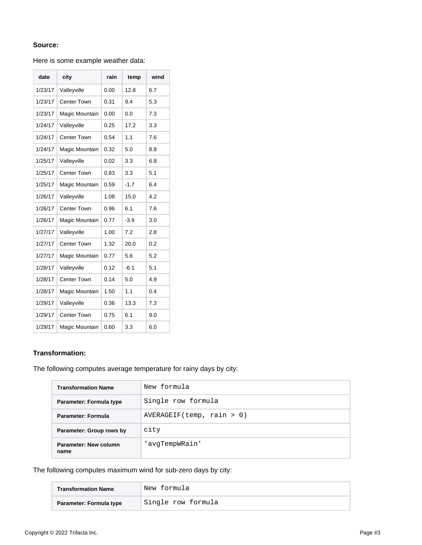## **Source:**

### Here is some example weather data:

| date    | city               | rain | temp   | wind |
|---------|--------------------|------|--------|------|
| 1/23/17 | Valleyville        | 0.00 | 12.8   | 6.7  |
| 1/23/17 | <b>Center Town</b> | 0.31 | 9.4    | 5.3  |
| 1/23/17 | Magic Mountain     | 0.00 | 0.0    | 7.3  |
| 1/24/17 | Valleyville        | 0.25 | 17.2   | 3.3  |
| 1/24/17 | <b>Center Town</b> | 0.54 | 1.1    | 7.6  |
| 1/24/17 | Magic Mountain     | 0.32 | 5.0    | 8.8  |
| 1/25/17 | Valleyville        | 0.02 | 3.3    | 6.8  |
| 1/25/17 | <b>Center Town</b> | 0.83 | 3.3    | 5.1  |
| 1/25/17 | Magic Mountain     | 0.59 | $-1.7$ | 6.4  |
| 1/26/17 | Valleyville        | 1.08 | 15.0   | 4.2  |
| 1/26/17 | <b>Center Town</b> | 0.96 | 6.1    | 7.6  |
| 1/26/17 | Magic Mountain     | 0.77 | $-3.9$ | 3.0  |
| 1/27/17 | Valleyville        | 1.00 | 7.2    | 2.8  |
| 1/27/17 | <b>Center Town</b> | 1.32 | 20.0   | 0.2  |
| 1/27/17 | Magic Mountain     | 0.77 | 5.6    | 5.2  |
| 1/28/17 | Valleyville        | 0.12 | $-6.1$ | 5.1  |
| 1/28/17 | <b>Center Town</b> | 0.14 | 5.0    | 4.9  |
| 1/28/17 | Magic Mountain     | 1.50 | 1.1    | 0.4  |
| 1/29/17 | Valleyville        | 0.36 | 13.3   | 7.3  |
| 1/29/17 | <b>Center Town</b> | 0.75 | 6.1    | 9.0  |
| 1/29/17 | Magic Mountain     | 0.60 | 3.3    | 6.0  |

## **Transformation:**

The following computes average temperature for rainy days by city:

| <b>Transformation Name</b>    | New formula               |
|-------------------------------|---------------------------|
| Parameter: Formula type       | Single row formula        |
| Parameter: Formula            | AVERAGEIF(temp, rain > 0) |
| Parameter: Group rows by      | city                      |
| Parameter: New column<br>name | 'avqTempWRain'            |

The following computes maximum wind for sub-zero days by city:

| <b>Transformation Name</b> | New formula        |
|----------------------------|--------------------|
| Parameter: Formula type    | Single row formula |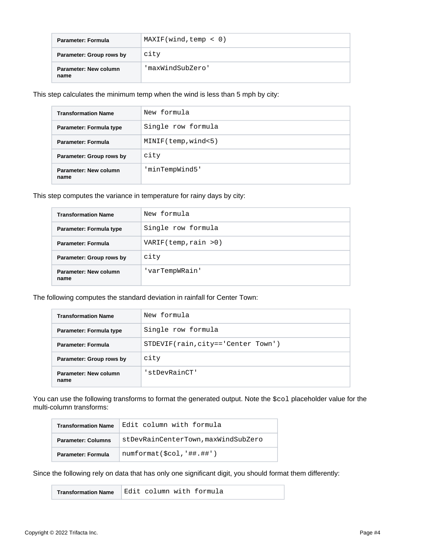| Parameter: Formula            | MAXIF(wind, temp < 0) |
|-------------------------------|-----------------------|
| Parameter: Group rows by      | city                  |
| Parameter: New column<br>name | 'maxWindSubZero'      |

This step calculates the minimum temp when the wind is less than 5 mph by city:

| <b>Transformation Name</b>    | New formula         |
|-------------------------------|---------------------|
| Parameter: Formula type       | Single row formula  |
| <b>Parameter: Formula</b>     | MINIF(temp, wind<5) |
| Parameter: Group rows by      | city                |
| Parameter: New column<br>name | 'minTempWind5'      |

This step computes the variance in temperature for rainy days by city:

| <b>Transformation Name</b>    | New formula           |
|-------------------------------|-----------------------|
| Parameter: Formula type       | Single row formula    |
| Parameter: Formula            | VARIF(temp, rain > 0) |
| Parameter: Group rows by      | city                  |
| Parameter: New column<br>name | 'varTempWRain'        |

The following computes the standard deviation in rainfall for Center Town:

| <b>Transformation Name</b>    | New formula                        |
|-------------------------------|------------------------------------|
| Parameter: Formula type       | Single row formula                 |
| <b>Parameter: Formula</b>     | STDEVIF(rain, city=='Center Town') |
| Parameter: Group rows by      | city                               |
| Parameter: New column<br>name | 'stDevRainCT'                      |

You can use the following transforms to format the generated output. Note the  $$col$  placeholder value for the multi-column transforms:

| <b>Transformation Name</b> | Edit column with formula            |
|----------------------------|-------------------------------------|
| <b>Parameter: Columns</b>  | stDevRainCenterTown, maxWindSubZero |
| <b>Parameter: Formula</b>  | $numformat(\$col, '##, +\#')$       |

Since the following rely on data that has only one significant digit, you should format them differently:

**Transformation Name** Edit column with formula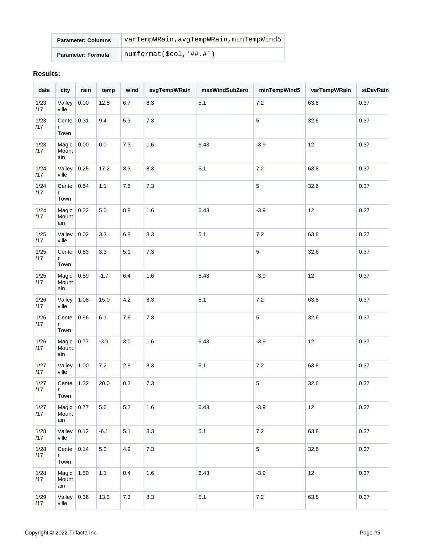| <b>Parameter: Columns</b> | varTempWRain, avqTempWRain, minTempWind5 |  |  |  |
|---------------------------|------------------------------------------|--|--|--|
| <b>Parameter: Formula</b> | numformat(\$col,'##.#')                  |  |  |  |

## **Results:**

| date          | city                  | rain | temp    | wind  | avgTempWRain | maxWindSubZero | minTempWind5 | varTempWRain | stDevRain |
|---------------|-----------------------|------|---------|-------|--------------|----------------|--------------|--------------|-----------|
| 1/23<br>/17   | Valley<br>ville       | 0.00 | 12.8    | 6.7   | 8.3          | 5.1            | $7.2\,$      | 63.8         | 0.37      |
| 1/23<br>/17   | Cente<br>r<br>Town    | 0.31 | 9.4     | 5.3   | $7.3$        |                | 5            | 32.6         | 0.37      |
| 1/23<br>/17   | Magic<br>Mount<br>ain | 0.00 | $0.0\,$ | $7.3$ | 1.6          | 6.43           | $-3.9$       | 12           | 0.37      |
| 1/24<br>/17   | Valley<br>ville       | 0.25 | 17.2    | 3.3   | 8.3          | $5.1$          | $7.2\,$      | 63.8         | 0.37      |
| 1/24<br>/17   | Cente<br>r<br>Town    | 0.54 | 1.1     | $7.6$ | $7.3$        |                | 5            | 32.6         | 0.37      |
| 1/24<br>/17   | Magic<br>Mount<br>ain | 0.32 | $5.0\,$ | 8.8   | 1.6          | 6.43           | $-3.9$       | 12           | 0.37      |
| 1/25<br>/17   | Valley<br>ville       | 0.02 | 3.3     | 6.8   | 8.3          | 5.1            | $7.2\,$      | 63.8         | 0.37      |
| $1/25$<br>/17 | Cente<br>r<br>Town    | 0.83 | 3.3     | 5.1   | $7.3$        |                | 5            | 32.6         | 0.37      |
| $1/25$<br>/17 | Magic<br>Mount<br>ain | 0.59 | $-1.7$  | 6.4   | 1.6          | 6.43           | $-3.9$       | 12           | 0.37      |
| $1/26$<br>/17 | Valley<br>ville       | 1.08 | 15.0    | 4.2   | 8.3          | 5.1            | $7.2\,$      | 63.8         | 0.37      |
| $1/26$<br>/17 | Cente<br>r<br>Town    | 0.96 | 6.1     | 7.6   | $7.3\,$      |                | 5            | 32.6         | 0.37      |
| $1/26$<br>/17 | Magic<br>Mount<br>ain | 0.77 | $-3.9$  | 3.0   | 1.6          | 6.43           | $-3.9$       | 12           | 0.37      |
| 1/27<br>/17   | Valley<br>ville       | 1.00 | $7.2\,$ | 2.8   | 8.3          | 5.1            | $7.2\,$      | 63.8         | 0.37      |
| 1/27<br>/17   | Cente<br>r<br>Town    | 1.32 | 20.0    | 0.2   | 7.3          |                | 5            | 32.6         | 0.37      |
| 1/27<br>/17   | Magic<br>Mount<br>ain | 0.77 | 5.6     | 5.2   | 1.6          | 6.43           | $-3.9$       | 12           | 0.37      |
| 1/28<br>/17   | Valley<br>ville       | 0.12 | $-6.1$  | 5.1   | 8.3          | 5.1            | $7.2\,$      | 63.8         | 0.37      |
| 1/28<br>/17   | Cente<br>r<br>Town    | 0.14 | $5.0\,$ | 4.9   | $7.3\,$      |                | 5            | 32.6         | 0.37      |
| 1/28<br>/17   | Magic<br>Mount<br>ain | 1.50 | 1.1     | 0.4   | $1.6\,$      | 6.43           | $-3.9$       | 12           | 0.37      |
| 1/29<br>/17   | Valley<br>ville       | 0.36 | 13.3    | 7.3   | 8.3          | 5.1            | $7.2\,$      | 63.8         | 0.37      |